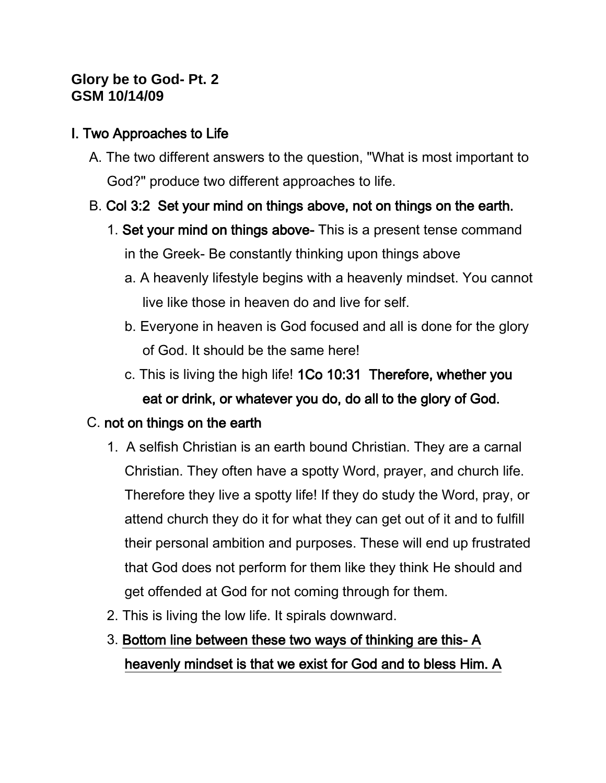## **Glory be to God- Pt. 2 GSM 10/14/09**

## I. Two Approaches to Life

A. The two different answers to the question, "What is most important to God?" produce two different approaches to life.

# B. Col 3:2 Set your mind on things above, not on things on the earth.

- 1. Set your mind on things above- This is a present tense command in the Greek- Be constantly thinking upon things above
	- a. A heavenly lifestyle begins with a heavenly mindset. You cannot live like those in heaven do and live for self.
	- b. Everyone in heaven is God focused and all is done for the glory of God. It should be the same here!
	- c. This is living the high life! 1Co 10:31 Therefore, whether you eat or drink, or whatever you do, do all to the glory of God.

# C. not on things on the earth

- 1. A selfish Christian is an earth bound Christian. They are a carnal Christian. They often have a spotty Word, prayer, and church life. Therefore they live a spotty life! If they do study the Word, pray, or attend church they do it for what they can get out of it and to fulfill their personal ambition and purposes. These will end up frustrated that God does not perform for them like they think He should and get offended at God for not coming through for them.
- 2. This is living the low life. It spirals downward.

# 3. Bottom line between these two ways of thinking are this- A heavenly mindset is that we exist for God and to bless Him. A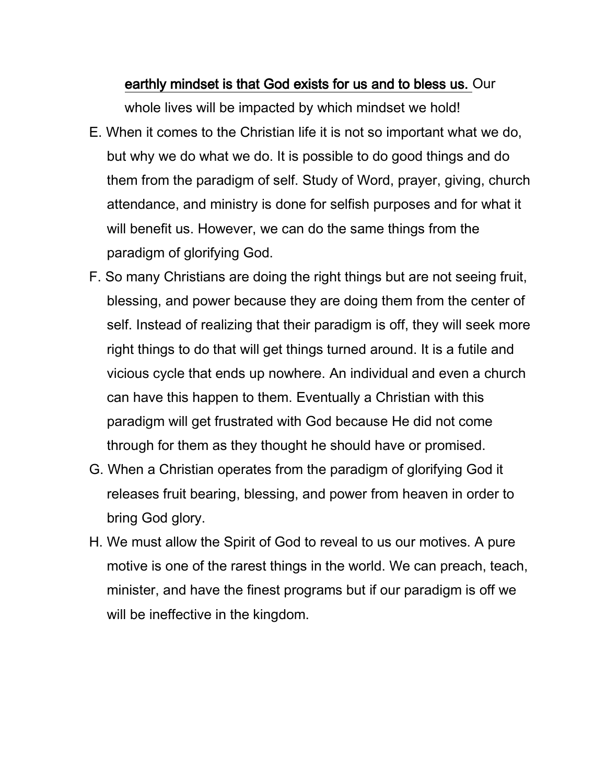#### earthly mindset is that God exists for us and to bless us. Our

whole lives will be impacted by which mindset we hold!

- E. When it comes to the Christian life it is not so important what we do, but why we do what we do. It is possible to do good things and do them from the paradigm of self. Study of Word, prayer, giving, church attendance, and ministry is done for selfish purposes and for what it will benefit us. However, we can do the same things from the paradigm of glorifying God.
- F. So many Christians are doing the right things but are not seeing fruit, blessing, and power because they are doing them from the center of self. Instead of realizing that their paradigm is off, they will seek more right things to do that will get things turned around. It is a futile and vicious cycle that ends up nowhere. An individual and even a church can have this happen to them. Eventually a Christian with this paradigm will get frustrated with God because He did not come through for them as they thought he should have or promised.
- G. When a Christian operates from the paradigm of glorifying God it releases fruit bearing, blessing, and power from heaven in order to bring God glory.
- H. We must allow the Spirit of God to reveal to us our motives. A pure motive is one of the rarest things in the world. We can preach, teach, minister, and have the finest programs but if our paradigm is off we will be ineffective in the kingdom.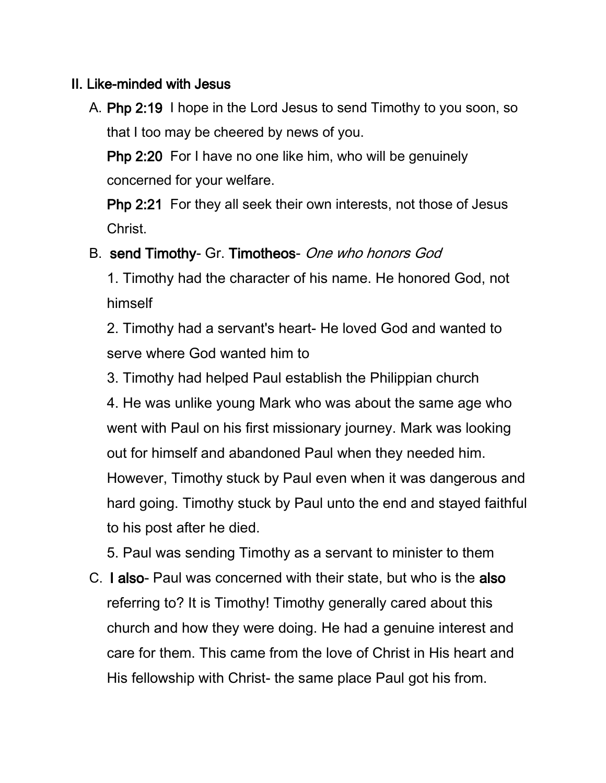### II. Like-minded with Jesus

A. Php 2:19 I hope in the Lord Jesus to send Timothy to you soon, so that I too may be cheered by news of you.

Php 2:20 For I have no one like him, who will be genuinely concerned for your welfare.

Php 2:21 For they all seek their own interests, not those of Jesus Christ.

## B. send Timothy- Gr. Timotheos- One who honors God

1. Timothy had the character of his name. He honored God, not himself

2. Timothy had a servant's heart- He loved God and wanted to serve where God wanted him to

3. Timothy had helped Paul establish the Philippian church 4. He was unlike young Mark who was about the same age who went with Paul on his first missionary journey. Mark was looking out for himself and abandoned Paul when they needed him. However, Timothy stuck by Paul even when it was dangerous and hard going. Timothy stuck by Paul unto the end and stayed faithful to his post after he died.

5. Paul was sending Timothy as a servant to minister to them

C. I also- Paul was concerned with their state, but who is the also referring to? It is Timothy! Timothy generally cared about this church and how they were doing. He had a genuine interest and care for them. This came from the love of Christ in His heart and His fellowship with Christ- the same place Paul got his from.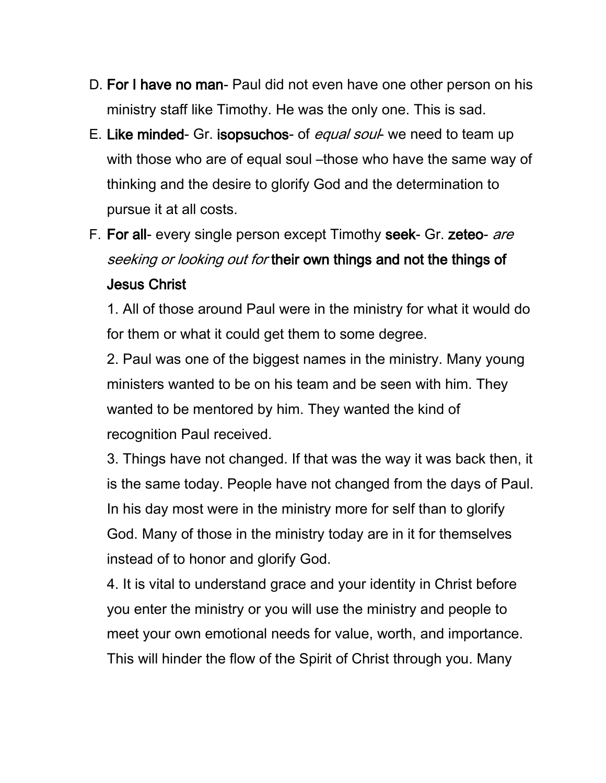- D. For I have no man- Paul did not even have one other person on his ministry staff like Timothy. He was the only one. This is sad.
- E. Like minded- Gr. isopsuchos- of equal soul- we need to team up with those who are of equal soul –those who have the same way of thinking and the desire to glorify God and the determination to pursue it at all costs.
- F. For all- every single person except Timothy seek- Gr. zeteo- are seeking or looking out for their own things and not the things of Jesus Christ

1. All of those around Paul were in the ministry for what it would do for them or what it could get them to some degree.

2. Paul was one of the biggest names in the ministry. Many young ministers wanted to be on his team and be seen with him. They wanted to be mentored by him. They wanted the kind of recognition Paul received.

3. Things have not changed. If that was the way it was back then, it is the same today. People have not changed from the days of Paul. In his day most were in the ministry more for self than to glorify God. Many of those in the ministry today are in it for themselves instead of to honor and glorify God.

4. It is vital to understand grace and your identity in Christ before you enter the ministry or you will use the ministry and people to meet your own emotional needs for value, worth, and importance. This will hinder the flow of the Spirit of Christ through you. Many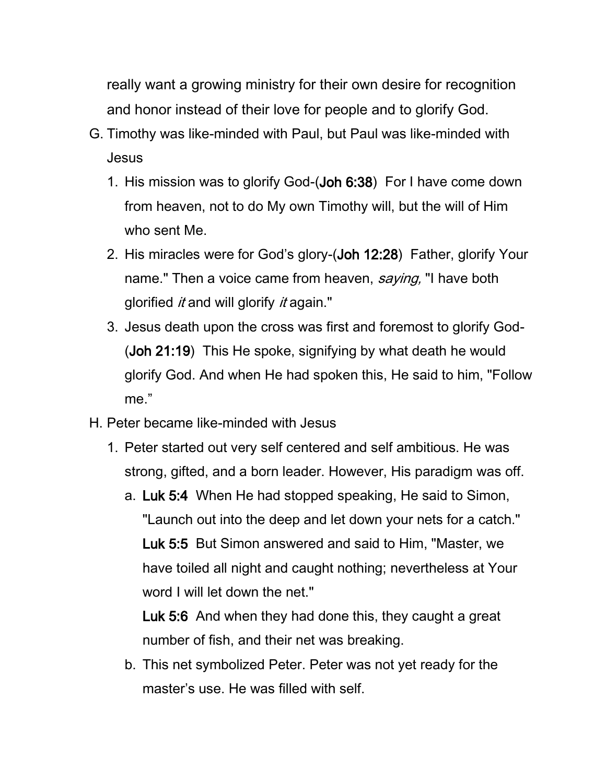really want a growing ministry for their own desire for recognition and honor instead of their love for people and to glorify God.

- G. Timothy was like-minded with Paul, but Paul was like-minded with Jesus
	- 1. His mission was to glorify God-(Joh 6:38) For I have come down from heaven, not to do My own Timothy will, but the will of Him who sent Me.
	- 2. His miracles were for God's glory-(Joh 12:28) Father, glorify Your name." Then a voice came from heaven, saying, "I have both glorified *it* and will glorify *it* again."
	- 3. Jesus death upon the cross was first and foremost to glorify God- (Joh 21:19) This He spoke, signifying by what death he would glorify God. And when He had spoken this, He said to him, "Follow me."
- H. Peter became like-minded with Jesus
	- 1. Peter started out very self centered and self ambitious. He was strong, gifted, and a born leader. However, His paradigm was off.
		- a. Luk 5:4 When He had stopped speaking, He said to Simon, "Launch out into the deep and let down your nets for a catch." Luk 5:5 But Simon answered and said to Him, "Master, we have toiled all night and caught nothing; nevertheless at Your word I will let down the net."

Luk 5:6 And when they had done this, they caught a great number of fish, and their net was breaking.

b. This net symbolized Peter. Peter was not yet ready for the master's use. He was filled with self.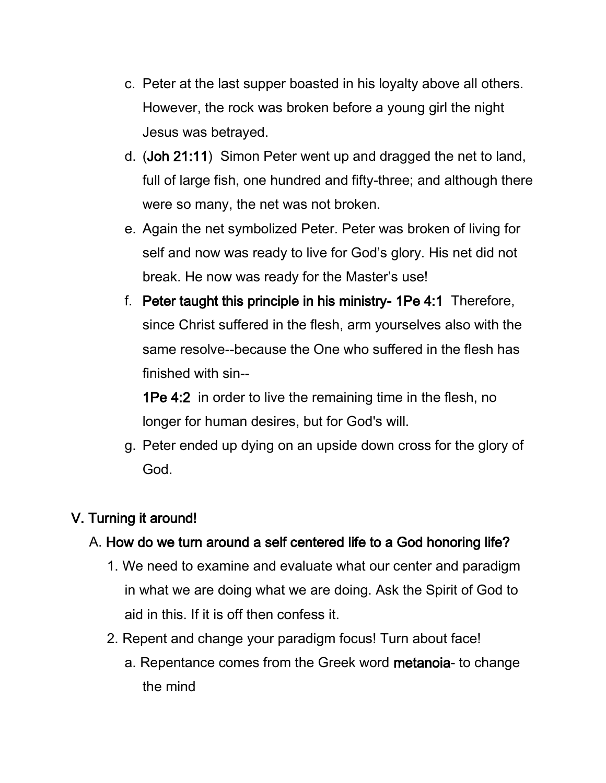- c. Peter at the last supper boasted in his loyalty above all others. However, the rock was broken before a young girl the night Jesus was betrayed.
- d. (Joh 21:11) Simon Peter went up and dragged the net to land, full of large fish, one hundred and fifty-three; and although there were so many, the net was not broken.
- e. Again the net symbolized Peter. Peter was broken of living for self and now was ready to live for God's glory. His net did not break. He now was ready for the Master's use!
- f. Peter taught this principle in his ministry- 1Pe 4:1 Therefore, since Christ suffered in the flesh, arm yourselves also with the same resolve--because the One who suffered in the flesh has finished with sin--

1Pe 4:2 in order to live the remaining time in the flesh, no longer for human desires, but for God's will.

g. Peter ended up dying on an upside down cross for the glory of God.

# V. Turning it around!

# A. How do we turn around a self centered life to a God honoring life?

- 1. We need to examine and evaluate what our center and paradigm in what we are doing what we are doing. Ask the Spirit of God to aid in this. If it is off then confess it.
- 2. Repent and change your paradigm focus! Turn about face!
	- a. Repentance comes from the Greek word metanoia- to change the mind